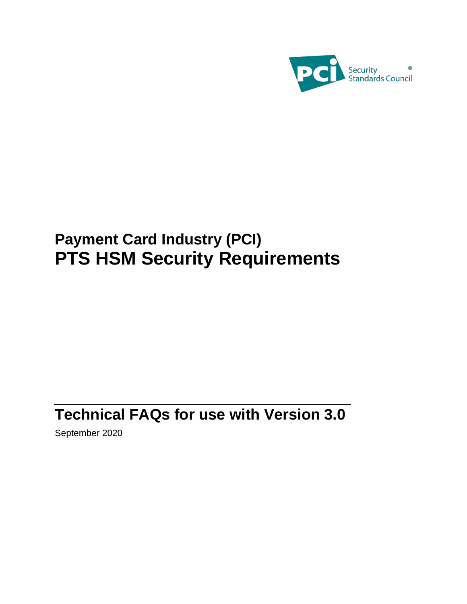

# **Payment Card Industry (PCI) PTS HSM Security Requirements**

# **Technical FAQs for use with Version 3.0**

September 2020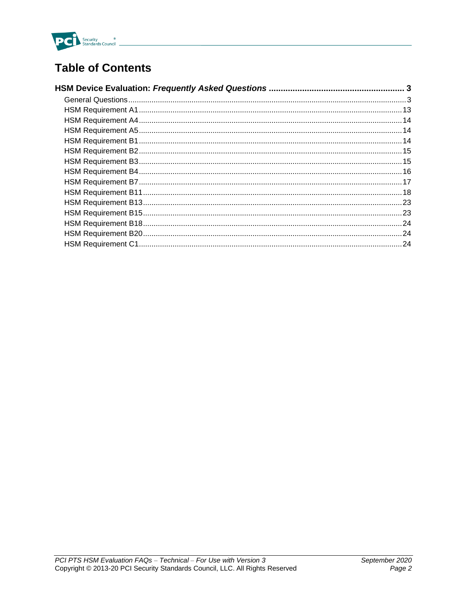

## **Table of Contents**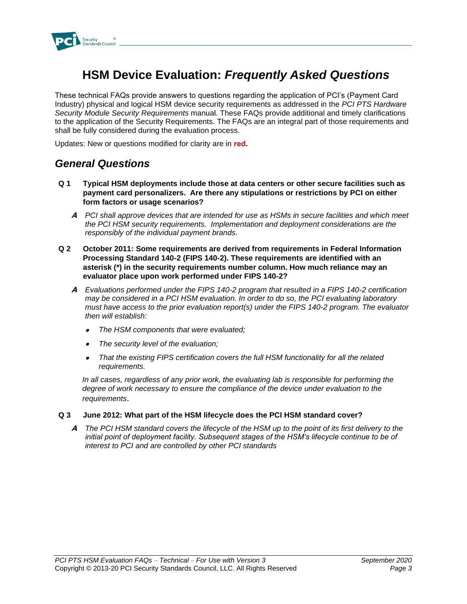

## <span id="page-2-0"></span>**HSM Device Evaluation:** *Frequently Asked Questions*

These technical FAQs provide answers to questions regarding the application of PCI's (Payment Card Industry) physical and logical HSM device security requirements as addressed in the *PCI PTS Hardware Security Module Security Requirements* manual. These FAQs provide additional and timely clarifications to the application of the Security Requirements. The FAQs are an integral part of those requirements and shall be fully considered during the evaluation process.

Updates: New or questions modified for clarity are in **red.**

### <span id="page-2-1"></span>*General Questions*

- **Q 1 Typical HSM deployments include those at data centers or other secure facilities such as payment card personalizers. Are there any stipulations or restrictions by PCI on either form factors or usage scenarios?**
	- **A** *PCI shall approve devices that are intended for use as HSMs in secure facilities and which meet the PCI HSM security requirements. Implementation and deployment considerations are the responsibly of the individual payment brands.*
- **Q 2 October 2011: Some requirements are derived from requirements in Federal Information Processing Standard 140-2 (FIPS 140-2). These requirements are identified with an asterisk (\*) in the security requirements number column. How much reliance may an evaluator place upon work performed under FIPS 140-2?** 
	- **A** *Evaluations performed under the FIPS 140-2 program that resulted in a FIPS 140-2 certification may be considered in a PCI HSM evaluation. In order to do so, the PCI evaluating laboratory must have access to the prior evaluation report(s) under the FIPS 140-2 program. The evaluator then will establish:* 
		- •*The HSM components that were evaluated;*
		- •*The security level of the evaluation;*
		- • *That the existing FIPS certification covers the full HSM functionality for all the related requirements.*

*In all cases, regardless of any prior work, the evaluating lab is responsible for performing the degree of work necessary to ensure the compliance of the device under evaluation to the requirements*.

#### **Q 3 June 2012: What part of the HSM lifecycle does the PCI HSM standard cover?**

**A** *The PCI HSM standard covers the lifecycle of the HSM up to the point of its first delivery to the*  initial point of deployment facility. Subsequent stages of the HSM's lifecycle continue to be of *interest to PCI and are controlled by other PCI standards*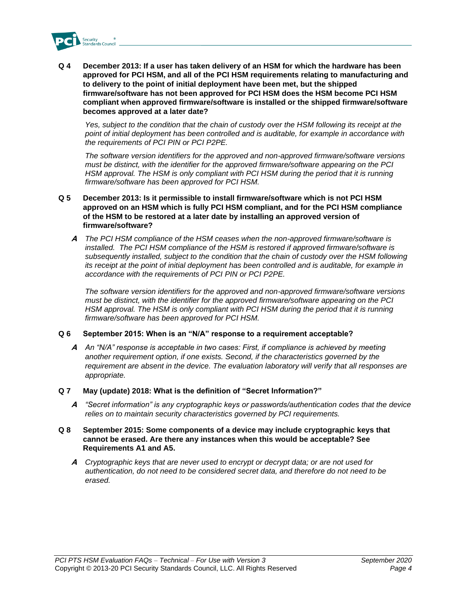

**Q 4 December 2013: If a user has taken delivery of an HSM for which the hardware has been approved for PCI HSM, and all of the PCI HSM requirements relating to manufacturing and to delivery to the point of initial deployment have been met, but the shipped firmware/software has not been approved for PCI HSM does the HSM become PCI HSM compliant when approved firmware/software is installed or the shipped firmware/software becomes approved at a later date?** 

*Yes, subject to the condition that the chain of custody over the HSM following its receipt at the point of initial deployment has been controlled and is auditable, for example in accordance with the requirements of PCI PIN or PCI P2PE.* 

*The software version identifiers for the approved and non-approved firmware/software versions must be distinct, with the identifier for the approved firmware/software appearing on the PCI HSM approval. The HSM is only compliant with PCI HSM during the period that it is running firmware/software has been approved for PCI HSM.* 

#### **Q 5 December 2013: Is it permissible to install firmware/software which is not PCI HSM approved on an HSM which is fully PCI HSM compliant, and for the PCI HSM compliance of the HSM to be restored at a later date by installing an approved version of firmware/software?**

**A** *The PCI HSM compliance of the HSM ceases when the non-approved firmware/software is installed. The PCI HSM compliance of the HSM is restored if approved firmware/software is subsequently installed, subject to the condition that the chain of custody over the HSM following its receipt at the point of initial deployment has been controlled and is auditable, for example in accordance with the requirements of PCI PIN or PCI P2PE.*

*The software version identifiers for the approved and non-approved firmware/software versions must be distinct, with the identifier for the approved firmware/software appearing on the PCI HSM approval. The HSM is only compliant with PCI HSM during the period that it is running firmware/software has been approved for PCI HSM.*

#### **Q 6 September 2015: When is an "N/A" response to a requirement acceptable?**

**A** *An "N/A" response is acceptable in two cases: First, if compliance is achieved by meeting another requirement option, if one exists. Second, if the characteristics governed by the requirement are absent in the device. The evaluation laboratory will verify that all responses are appropriate.*

#### **Q 7 May (update) 2018: What is the definition of "Secret Information?"**

**A** *"Secret information" is any cryptographic keys or passwords/authentication codes that the device relies on to maintain security characteristics governed by PCI requirements.* 

#### **Q 8 September 2015: Some components of a device may include cryptographic keys that cannot be erased. Are there any instances when this would be acceptable? See Requirements A1 and A5.**

**A** *Cryptographic keys that are never used to encrypt or decrypt data; or are not used for authentication, do not need to be considered secret data, and therefore do not need to be erased.*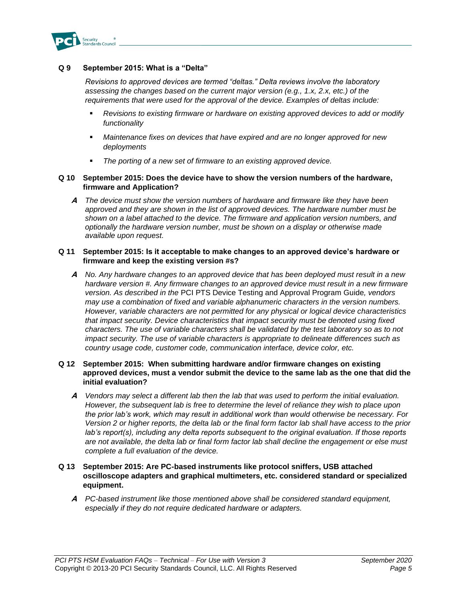

#### **Q 9 September 2015: What is a "Delta"**

*Revisions to approved devices are termed "deltas." Delta reviews involve the laboratory assessing the changes based on the current major version (e.g., 1.x, 2.x, etc.) of the requirements that were used for the approval of the device. Examples of deltas include:*

- *Revisions to existing firmware or hardware on existing approved devices to add or modify functionality*
- Maintenance fixes on devices that have expired and are no longer approved for new *deployments*
- The porting of a new set of firmware to an existing approved device.

#### **Q 10 September 2015: Does the device have to show the version numbers of the hardware, firmware and Application?**

**A** *The device must show the version numbers of hardware and firmware like they have been approved and they are shown in the list of approved devices. The hardware number must be shown on a label attached to the device. The firmware and application version numbers, and optionally the hardware version number, must be shown on a display or otherwise made available upon request.*

#### **Q 11 September 2015: Is it acceptable to make changes to an approved device's hardware or firmware and keep the existing version #s?**

**A** *No. Any hardware changes to an approved device that has been deployed must result in a new hardware version #. Any firmware changes to an approved device must result in a new firmware version. As described in the* PCI PTS Device Testing and Approval Program Guide*, vendors may use a combination of fixed and variable alphanumeric characters in the version numbers. However, variable characters are not permitted for any physical or logical device characteristics that impact security. Device characteristics that impact security must be denoted using fixed characters. The use of variable characters shall be validated by the test laboratory so as to not impact security. The use of variable characters is appropriate to delineate differences such as country usage code, customer code, communication interface, device color, etc.* 

#### **Q 12 September 2015: When submitting hardware and/or firmware changes on existing approved devices, must a vendor submit the device to the same lab as the one that did the initial evaluation?**

- **A** *Vendors may select a different lab then the lab that was used to perform the initial evaluation. However, the subsequent lab is free to determine the level of reliance they wish to place upon the prior lab's work, which may result in additional work than would otherwise be necessary. For Version 2 or higher reports, the delta lab or the final form factor lab shall have access to the prior lab's report(s), including any delta reports subsequent to the original evaluation. If those reports are not available, the delta lab or final form factor lab shall decline the engagement or else must complete a full evaluation of the device.*
- **Q 13 September 2015: Are PC-based instruments like protocol sniffers, USB attached oscilloscope adapters and graphical multimeters, etc. considered standard or specialized equipment.**
	- **A** *PC-based instrument like those mentioned above shall be considered standard equipment, especially if they do not require dedicated hardware or adapters.*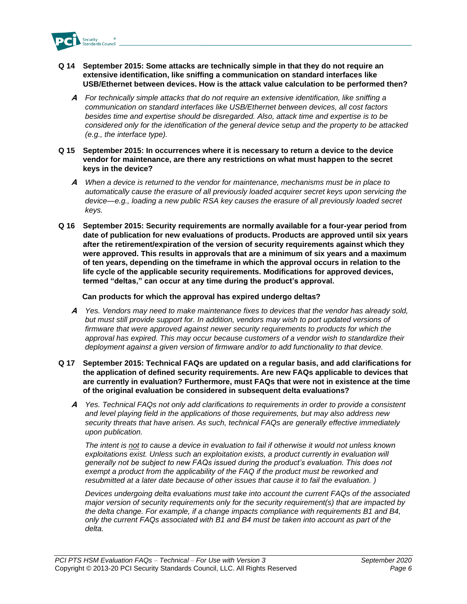

- **Q 14 September 2015: Some attacks are technically simple in that they do not require an extensive identification, like sniffing a communication on standard interfaces like USB/Ethernet between devices. How is the attack value calculation to be performed then?**
	- **A** *For technically simple attacks that do not require an extensive identification, like sniffing a communication on standard interfaces like USB/Ethernet between devices, all cost factors besides time and expertise should be disregarded. Also, attack time and expertise is to be considered only for the identification of the general device setup and the property to be attacked (e.g., the interface type).*
- **Q 15 September 2015: In occurrences where it is necessary to return a device to the device vendor for maintenance, are there any restrictions on what must happen to the secret keys in the device?**
	- **A** *When a device is returned to the vendor for maintenance, mechanisms must be in place to automatically cause the erasure of all previously loaded acquirer secret keys upon servicing the device—e.g., loading a new public RSA key causes the erasure of all previously loaded secret keys.*
- **Q 16 September 2015: Security requirements are normally available for a four-year period from date of publication for new evaluations of products. Products are approved until six years after the retirement/expiration of the version of security requirements against which they were approved. This results in approvals that are a minimum of six years and a maximum of ten years, depending on the timeframe in which the approval occurs in relation to the life cycle of the applicable security requirements. Modifications for approved devices, termed "deltas," can occur at any time during the product's approval.**

#### **Can products for which the approval has expired undergo deltas?**

- **A** *Yes. Vendors may need to make maintenance fixes to devices that the vendor has already sold, but must still provide support for. In addition, vendors may wish to port updated versions of*  firmware that were approved against newer security requirements to products for which the *approval has expired. This may occur because customers of a vendor wish to standardize their deployment against a given version of firmware and/or to add functionality to that device.*
- **Q 17 September 2015: Technical FAQs are updated on a regular basis, and add clarifications for the application of defined security requirements. Are new FAQs applicable to devices that are currently in evaluation? Furthermore, must FAQs that were not in existence at the time of the original evaluation be considered in subsequent delta evaluations?**
	- **A** *Yes. Technical FAQs not only add clarifications to requirements in order to provide a consistent and level playing field in the applications of those requirements, but may also address new security threats that have arisen. As such, technical FAQs are generally effective immediately upon publication.*

*The intent is not to cause a device in evaluation to fail if otherwise it would not unless known*  exploitations exist. Unless such an exploitation exists, a product currently in evaluation will *generally not be subject to new FAQs issued during the product's evaluation. This does not exempt a product from the applicability of the FAQ if the product must be reworked and resubmitted at a later date because of other issues that cause it to fail the evaluation. )*

*Devices undergoing delta evaluations must take into account the current FAQs of the associated major version of security requirements only for the security requirement(s) that are impacted by the delta change. For example, if a change impacts compliance with requirements B1 and B4, only the current FAQs associated with B1 and B4 must be taken into account as part of the delta.*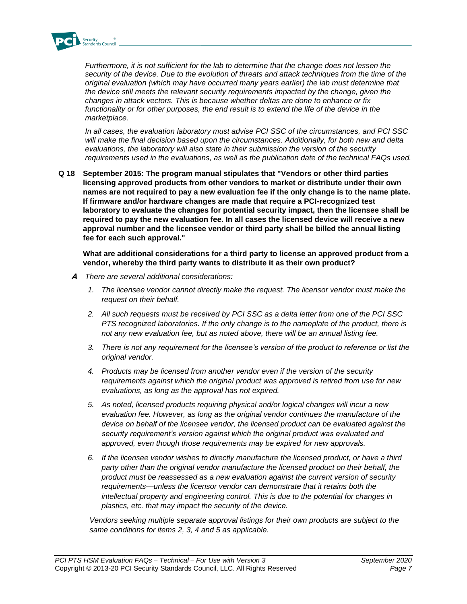

*Furthermore, it is not sufficient for the lab to determine that the change does not lessen the security of the device. Due to the evolution of threats and attack techniques from the time of the original evaluation (which may have occurred many years earlier) the lab must determine that the device still meets the relevant security requirements impacted by the change, given the changes in attack vectors. This is because whether deltas are done to enhance or fix*  functionality or for other purposes, the end result is to extend the life of the device in the *marketplace.*

*In all cases, the evaluation laboratory must advise PCI SSC of the circumstances, and PCI SSC will make the final decision based upon the circumstances. Additionally, for both new and delta evaluations, the laboratory will also state in their submission the version of the security requirements used in the evaluations, as well as the publication date of the technical FAQs used.*

**Q 18 September 2015: The program manual stipulates that "Vendors or other third parties licensing approved products from other vendors to market or distribute under their own names are not required to pay a new evaluation fee if the only change is to the name plate. If firmware and/or hardware changes are made that require a PCI-recognized test laboratory to evaluate the changes for potential security impact, then the licensee shall be required to pay the new evaluation fee. In all cases the licensed device will receive a new approval number and the licensee vendor or third party shall be billed the annual listing fee for each such approval."**

**What are additional considerations for a third party to license an approved product from a vendor, whereby the third party wants to distribute it as their own product?**

- **A** *There are several additional considerations:*
	- *1. The licensee vendor cannot directly make the request. The licensor vendor must make the request on their behalf.*
	- *2. All such requests must be received by PCI SSC as a delta letter from one of the PCI SSC PTS recognized laboratories. If the only change is to the nameplate of the product, there is not any new evaluation fee, but as noted above, there will be an annual listing fee.*
	- *3. There is not any requirement for the licensee's version of the product to reference or list the original vendor.*
	- *4. Products may be licensed from another vendor even if the version of the security requirements against which the original product was approved is retired from use for new evaluations, as long as the approval has not expired.*
	- *5. As noted, licensed products requiring physical and/or logical changes will incur a new evaluation fee. However, as long as the original vendor continues the manufacture of the device on behalf of the licensee vendor, the licensed product can be evaluated against the security requirement's version against which the original product was evaluated and approved, even though those requirements may be expired for new approvals.*
	- *6. If the licensee vendor wishes to directly manufacture the licensed product, or have a third party other than the original vendor manufacture the licensed product on their behalf, the product must be reassessed as a new evaluation against the current version of security requirements—unless the licensor vendor can demonstrate that it retains both the intellectual property and engineering control. This is due to the potential for changes in plastics, etc. that may impact the security of the device.*

*Vendors seeking multiple separate approval listings for their own products are subject to the same conditions for items 2, 3, 4 and 5 as applicable.*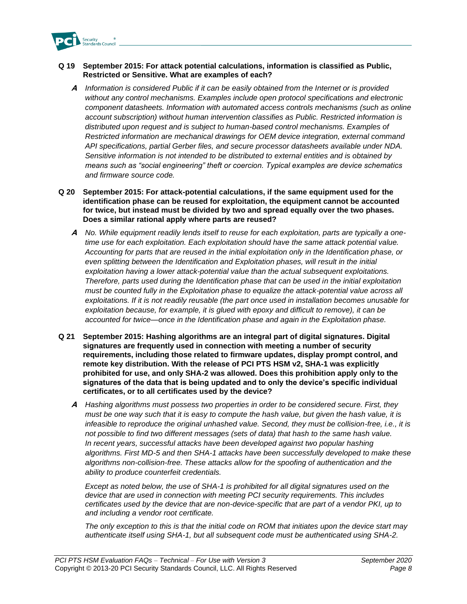

#### **Q 19 September 2015: For attack potential calculations, information is classified as Public, Restricted or Sensitive. What are examples of each?**

**A** *Information is considered Public if it can be easily obtained from the Internet or is provided without any control mechanisms. Examples include open protocol specifications and electronic component datasheets. Information with automated access controls mechanisms (such as online account subscription) without human intervention classifies as Public. Restricted information is distributed upon request and is subject to human-based control mechanisms. Examples of Restricted information are mechanical drawings for OEM device integration, external command API specifications, partial Gerber files, and secure processor datasheets available under NDA. Sensitive information is not intended to be distributed to external entities and is obtained by means such as "social engineering" theft or coercion. Typical examples are device schematics and firmware source code.*

#### **Q 20 September 2015: For attack-potential calculations, if the same equipment used for the identification phase can be reused for exploitation, the equipment cannot be accounted for twice, but instead must be divided by two and spread equally over the two phases. Does a similar rational apply where parts are reused?**

- **A** *No. While equipment readily lends itself to reuse for each exploitation, parts are typically a onetime use for each exploitation. Each exploitation should have the same attack potential value. Accounting for parts that are reused in the initial exploitation only in the Identification phase, or even splitting between the Identification and Exploitation phases, will result in the initial exploitation having a lower attack-potential value than the actual subsequent exploitations. Therefore, parts used during the Identification phase that can be used in the initial exploitation must be counted fully in the Exploitation phase to equalize the attack-potential value across all exploitations. If it is not readily reusable (the part once used in installation becomes unusable for exploitation because, for example, it is glued with epoxy and difficult to remove), it can be accounted for twice—once in the Identification phase and again in the Exploitation phase.*
- **Q 21 September 2015: Hashing algorithms are an integral part of digital signatures. Digital signatures are frequently used in connection with meeting a number of security requirements, including those related to firmware updates, display prompt control, and remote key distribution. With the release of PCI PTS HSM v2, SHA-1 was explicitly prohibited for use, and only SHA-2 was allowed. Does this prohibition apply only to the signatures of the data that is being updated and to only the device's specific individual certificates, or to all certificates used by the device?**
	- **A** *Hashing algorithms must possess two properties in order to be considered secure. First, they must be one way such that it is easy to compute the hash value, but given the hash value, it is infeasible to reproduce the original unhashed value. Second, they must be collision-free, i.e., it is not possible to find two different messages (sets of data) that hash to the same hash value. In recent years, successful attacks have been developed against two popular hashing algorithms. First MD-5 and then SHA-1 attacks have been successfully developed to make these algorithms non-collision-free. These attacks allow for the spoofing of authentication and the ability to produce counterfeit credentials.*

*Except as noted below, the use of SHA-1 is prohibited for all digital signatures used on the device that are used in connection with meeting PCI security requirements. This includes certificates used by the device that are non-device-specific that are part of a vendor PKI, up to and including a vendor root certificate.*

*The only exception to this is that the initial code on ROM that initiates upon the device start may authenticate itself using SHA-1, but all subsequent code must be authenticated using SHA-2.*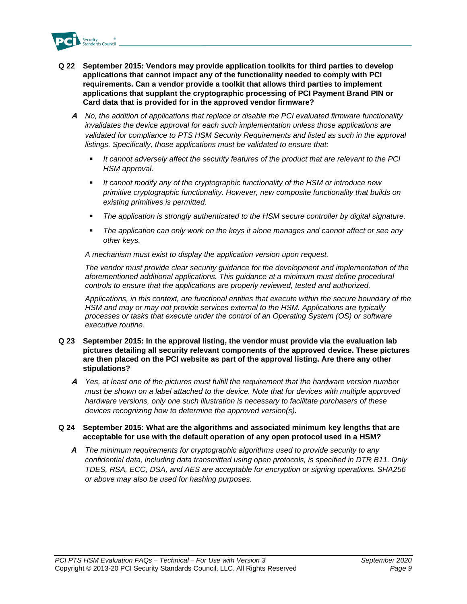

- **Q 22 September 2015: Vendors may provide application toolkits for third parties to develop applications that cannot impact any of the functionality needed to comply with PCI requirements. Can a vendor provide a toolkit that allows third parties to implement applications that supplant the cryptographic processing of PCI Payment Brand PIN or Card data that is provided for in the approved vendor firmware?**
	- **A** *No, the addition of applications that replace or disable the PCI evaluated firmware functionality*  invalidates the device approval for each such implementation unless those applications are validated for compliance to PTS HSM Security Requirements and listed as such in the approval *listings. Specifically, those applications must be validated to ensure that:*
		- *It cannot adversely affect the security features of the product that are relevant to the PCI HSM approval.*
		- *It cannot modify any of the cryptographic functionality of the HSM or introduce new primitive cryptographic functionality. However, new composite functionality that builds on existing primitives is permitted.*
		- *The application is strongly authenticated to the HSM secure controller by digital signature.*
		- The application can only work on the keys it alone manages and cannot affect or see any *other keys.*

*A mechanism must exist to display the application version upon request.*

*The vendor must provide clear security guidance for the development and implementation of the aforementioned additional applications. This guidance at a minimum must define procedural controls to ensure that the applications are properly reviewed, tested and authorized.* 

*Applications, in this context, are functional entities that execute within the secure boundary of the HSM and may or may not provide services external to the HSM. Applications are typically processes or tasks that execute under the control of an Operating System (OS) or software executive routine.* 

- **Q 23 September 2015: In the approval listing, the vendor must provide via the evaluation lab pictures detailing all security relevant components of the approved device. These pictures are then placed on the PCI website as part of the approval listing. Are there any other stipulations?**
	- **A** *Yes, at least one of the pictures must fulfill the requirement that the hardware version number must be shown on a label attached to the device. Note that for devices with multiple approved hardware versions, only one such illustration is necessary to facilitate purchasers of these devices recognizing how to determine the approved version(s).*

#### **Q 24 September 2015: What are the algorithms and associated minimum key lengths that are acceptable for use with the default operation of any open protocol used in a HSM?**

*A The minimum requirements for cryptographic algorithms used to provide security to any confidential data, including data transmitted using open protocols, is specified in DTR B11. Only TDES, RSA, ECC, DSA, and AES are acceptable for encryption or signing operations. SHA256 or above may also be used for hashing purposes.*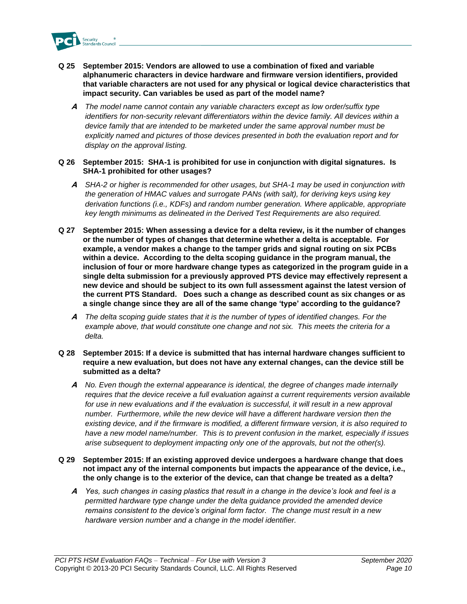

- **Q 25 September 2015: Vendors are allowed to use a combination of fixed and variable alphanumeric characters in device hardware and firmware version identifiers, provided that variable characters are not used for any physical or logical device characteristics that impact security. Can variables be used as part of the model name?**
	- **A** *The model name cannot contain any variable characters except as low order/suffix type identifiers for non-security relevant differentiators within the device family. All devices within a device family that are intended to be marketed under the same approval number must be explicitly named and pictures of those devices presented in both the evaluation report and for display on the approval listing.*
- **Q 26 September 2015: SHA-1 is prohibited for use in conjunction with digital signatures. Is SHA-1 prohibited for other usages?**
	- **A** *SHA-2 or higher is recommended for other usages, but SHA-1 may be used in conjunction with the generation of HMAC values and surrogate PANs (with salt), for deriving keys using key derivation functions (i.e., KDFs) and random number generation. Where applicable, appropriate key length minimums as delineated in the Derived Test Requirements are also required.*
- **Q 27 September 2015: When assessing a device for a delta review, is it the number of changes or the number of types of changes that determine whether a delta is acceptable. For example, a vendor makes a change to the tamper grids and signal routing on six PCBs within a device. According to the delta scoping guidance in the program manual, the inclusion of four or more hardware change types as categorized in the program guide in a single delta submission for a previously approved PTS device may effectively represent a new device and should be subject to its own full assessment against the latest version of the current PTS Standard. Does such a change as described count as six changes or as a single change since they are all of the same change 'type' according to the guidance?**
	- **A** *The delta scoping guide states that it is the number of types of identified changes. For the example above, that would constitute one change and not six. This meets the criteria for a delta.*
- **Q 28 September 2015: If a device is submitted that has internal hardware changes sufficient to require a new evaluation, but does not have any external changes, can the device still be submitted as a delta?**
	- **A** *No. Even though the external appearance is identical, the degree of changes made internally requires that the device receive a full evaluation against a current requirements version available*  for use in new evaluations and if the evaluation is successful, it will result in a new approval *number. Furthermore, while the new device will have a different hardware version then the existing device, and if the firmware is modified, a different firmware version, it is also required to have a new model name/number. This is to prevent confusion in the market, especially if issues arise subsequent to deployment impacting only one of the approvals, but not the other(s).*
- **Q 29 September 2015: If an existing approved device undergoes a hardware change that does not impact any of the internal components but impacts the appearance of the device, i.e., the only change is to the exterior of the device, can that change be treated as a delta?**
	- **A** *Yes, such changes in casing plastics that result in a change in the device's look and feel is a permitted hardware type change under the delta guidance provided the amended device remains consistent to the device's original form factor. The change must result in a new hardware version number and a change in the model identifier.*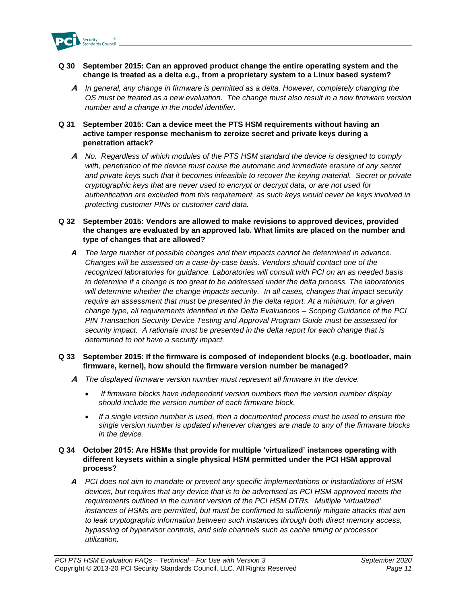

#### **Q 30 September 2015: Can an approved product change the entire operating system and the change is treated as a delta e.g., from a proprietary system to a Linux based system?**

**A** *In general, any change in firmware is permitted as a delta. However, completely changing the OS must be treated as a new evaluation. The change must also result in a new firmware version number and a change in the model identifier.*

#### **Q 31 September 2015: Can a device meet the PTS HSM requirements without having an active tamper response mechanism to zeroize secret and private keys during a penetration attack?**

**A** *No. Regardless of which modules of the PTS HSM standard the device is designed to comply with, penetration of the device must cause the automatic and immediate erasure of any secret and private keys such that it becomes infeasible to recover the keying material. Secret or private cryptographic keys that are never used to encrypt or decrypt data, or are not used for authentication are excluded from this requirement, as such keys would never be keys involved in protecting customer PINs or customer card data.*

#### **Q 32 September 2015: Vendors are allowed to make revisions to approved devices, provided the changes are evaluated by an approved lab. What limits are placed on the number and type of changes that are allowed?**

*A The large number of possible changes and their impacts cannot be determined in advance. Changes will be assessed on a case-by-case basis. Vendors should contact one of the recognized laboratories for guidance. Laboratories will consult with PCI on an as needed basis to determine if a change is too great to be addressed under the delta process. The laboratories will determine whether the change impacts security. In all cases, changes that impact security require an assessment that must be presented in the delta report. At a minimum, for a given change type, all requirements identified in the Delta Evaluations – Scoping Guidance of the PCI PIN Transaction Security Device Testing and Approval Program Guide must be assessed for security impact. A rationale must be presented in the delta report for each change that is determined to not have a security impact.*

#### **Q 33 September 2015: If the firmware is composed of independent blocks (e.g. bootloader, main firmware, kernel), how should the firmware version number be managed?**

- **A** *The displayed firmware version number must represent all firmware in the device.*
	- *If firmware blocks have independent version numbers then the version number display should include the version number of each firmware block.*
	- *If a single version number is used, then a documented process must be used to ensure the single version number is updated whenever changes are made to any of the firmware blocks in the device.*

#### **Q 34 October 2015: Are HSMs that provide for multiple 'virtualized' instances operating with different keysets within a single physical HSM permitted under the PCI HSM approval process?**

*A PCI does not aim to mandate or prevent any specific implementations or instantiations of HSM devices, but requires that any device that is to be advertised as PCI HSM approved meets the requirements outlined in the current version of the PCI HSM DTRs. Multiple 'virtualized' instances of HSMs are permitted, but must be confirmed to sufficiently mitigate attacks that aim to leak cryptographic information between such instances through both direct memory access, bypassing of hypervisor controls, and side channels such as cache timing or processor utilization.*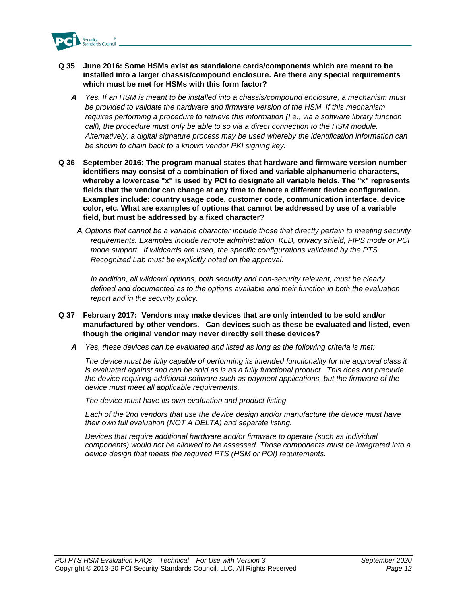

- **Q 35 June 2016: Some HSMs exist as standalone cards/components which are meant to be installed into a larger chassis/compound enclosure. Are there any special requirements which must be met for HSMs with this form factor?**
	- *A Yes. If an HSM is meant to be installed into a chassis/compound enclosure, a mechanism must be provided to validate the hardware and firmware version of the HSM. If this mechanism requires performing a procedure to retrieve this information (I.e., via a software library function call*), the procedure must only be able to so via a direct connection to the HSM module. *Alternatively, a digital signature process may be used whereby the identification information can be shown to chain back to a known vendor PKI signing key.*
- **Q 36 September 2016: The program manual states that hardware and firmware version number identifiers may consist of a combination of fixed and variable alphanumeric characters, whereby a lowercase "x" is used by PCI to designate all variable fields. The "x" represents fields that the vendor can change at any time to denote a different device configuration. Examples include: country usage code, customer code, communication interface, device color, etc. What are examples of options that cannot be addressed by use of a variable field, but must be addressed by a fixed character?**
	- *A Options that cannot be a variable character include those that directly pertain to meeting security requirements. Examples include remote administration, KLD, privacy shield, FIPS mode or PCI mode support. If wildcards are used, the specific configurations validated by the PTS Recognized Lab must be explicitly noted on the approval.*

*In addition, all wildcard options, both security and non-security relevant, must be clearly defined and documented as to the options available and their function in both the evaluation report and in the security policy.* 

#### **Q 37 February 2017: Vendors may make devices that are only intended to be sold and/or manufactured by other vendors. Can devices such as these be evaluated and listed, even though the original vendor may never directly sell these devices?**

*A Yes, these devices can be evaluated and listed as long as the following criteria is met:*

*The device must be fully capable of performing its intended functionality for the approval class it is evaluated against and can be sold as is as a fully functional product. This does not preclude the device requiring additional software such as payment applications, but the firmware of the device must meet all applicable requirements.*

*The device must have its own evaluation and product listing*

*Each of the 2nd vendors that use the device design and/or manufacture the device must have their own full evaluation (NOT A DELTA) and separate listing.*

*Devices that require additional hardware and/or firmware to operate (such as individual components) would not be allowed to be assessed. Those components must be integrated into a device design that meets the required PTS (HSM or POI) requirements.*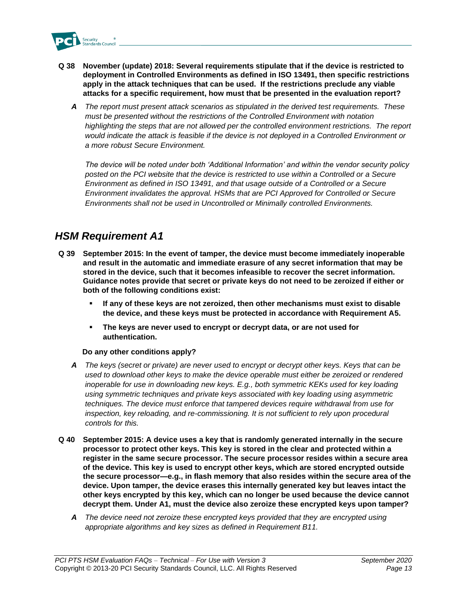

- **Q 38 November (update) 2018: Several requirements stipulate that if the device is restricted to deployment in Controlled Environments as defined in ISO 13491, then specific restrictions apply in the attack techniques that can be used. If the restrictions preclude any viable attacks for a specific requirement, how must that be presented in the evaluation report?**
	- *A The report must present attack scenarios as stipulated in the derived test requirements. These must be presented without the restrictions of the Controlled Environment with notation*  highlighting the steps that are not allowed per the controlled environment restrictions. The report *would indicate the attack is feasible if the device is not deployed in a Controlled Environment or a more robust Secure Environment.*

*The device will be noted under both 'Additional Information' and within the vendor security policy*  posted on the PCI website that the device is restricted to use within a Controlled or a Secure *Environment as defined in ISO 13491, and that usage outside of a Controlled or a Secure Environment invalidates the approval. HSMs that are PCI Approved for Controlled or Secure Environments shall not be used in Uncontrolled or Minimally controlled Environments.*

### <span id="page-12-0"></span>*HSM Requirement A1*

- **Q 39 September 2015: In the event of tamper, the device must become immediately inoperable and result in the automatic and immediate erasure of any secret information that may be stored in the device, such that it becomes infeasible to recover the secret information. Guidance notes provide that secret or private keys do not need to be zeroized if either or both of the following conditions exist:**
	- **If any of these keys are not zeroized, then other mechanisms must exist to disable the device, and these keys must be protected in accordance with Requirement A5.**
	- **The keys are never used to encrypt or decrypt data, or are not used for authentication.**

#### **Do any other conditions apply?**

- *A The keys (secret or private) are never used to encrypt or decrypt other keys. Keys that can be used to download other keys to make the device operable must either be zeroized or rendered inoperable for use in downloading new keys. E.g., both symmetric KEKs used for key loading using symmetric techniques and private keys associated with key loading using asymmetric techniques. The device must enforce that tampered devices require withdrawal from use for inspection, key reloading, and re-commissioning. It is not sufficient to rely upon procedural controls for this.*
- **Q 40 September 2015: A device uses a key that is randomly generated internally in the secure processor to protect other keys. This key is stored in the clear and protected within a register in the same secure processor. The secure processor resides within a secure area of the device. This key is used to encrypt other keys, which are stored encrypted outside the secure processor—e.g., in flash memory that also resides within the secure area of the device. Upon tamper, the device erases this internally generated key but leaves intact the other keys encrypted by this key, which can no longer be used because the device cannot decrypt them. Under A1, must the device also zeroize these encrypted keys upon tamper?**
	- *A The device need not zeroize these encrypted keys provided that they are encrypted using appropriate algorithms and key sizes as defined in Requirement B11.*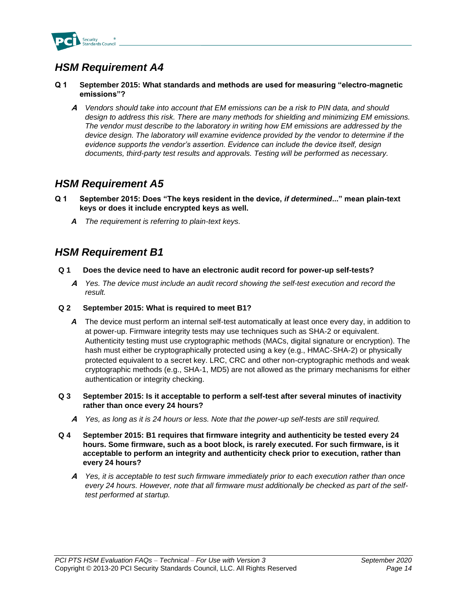

#### <span id="page-13-0"></span>**Q 1 September 2015: What standards and methods are used for measuring "electro-magnetic emissions"?**

**A** *Vendors should take into account that EM emissions can be a risk to PIN data, and should design to address this risk. There are many methods for shielding and minimizing EM emissions. The vendor must describe to the laboratory in writing how EM emissions are addressed by the device design. The laboratory will examine evidence provided by the vendor to determine if the evidence supports the vendor's assertion. Evidence can include the device itself, design documents, third-party test results and approvals. Testing will be performed as necessary.*

### <span id="page-13-1"></span>*HSM Requirement A5*

- **Q 1 September 2015: Does "The keys resident in the device,** *if determined***..." mean plain-text keys or does it include encrypted keys as well.** 
	- *A The requirement is referring to plain-text keys.*

### <span id="page-13-2"></span>*HSM Requirement B1*

- **Q 1 Does the device need to have an electronic audit record for power-up self-tests?**
	- **A** *Yes. The device must include an audit record showing the self-test execution and record the result.*
- **Q 2 September 2015: What is required to meet B1?** 
	- *A* The device must perform an internal self-test automatically at least once every day, in addition to at power-up. Firmware integrity tests may use techniques such as SHA-2 or equivalent. Authenticity testing must use cryptographic methods (MACs, digital signature or encryption). The hash must either be cryptographically protected using a key (e.g., HMAC-SHA-2) or physically protected equivalent to a secret key. LRC, CRC and other non-cryptographic methods and weak cryptographic methods (e.g., SHA-1, MD5) are not allowed as the primary mechanisms for either authentication or integrity checking.
- **Q 3 September 2015: Is it acceptable to perform a self-test after several minutes of inactivity rather than once every 24 hours?** 
	- **A** *Yes, as long as it is 24 hours or less. Note that the power-up self-tests are still required.*
- **Q 4 September 2015: B1 requires that firmware integrity and authenticity be tested every 24 hours. Some firmware, such as a boot block, is rarely executed. For such firmware, is it acceptable to perform an integrity and authenticity check prior to execution, rather than every 24 hours?** 
	- **A** *Yes, it is acceptable to test such firmware immediately prior to each execution rather than once every 24 hours. However, note that all firmware must additionally be checked as part of the selftest performed at startup.*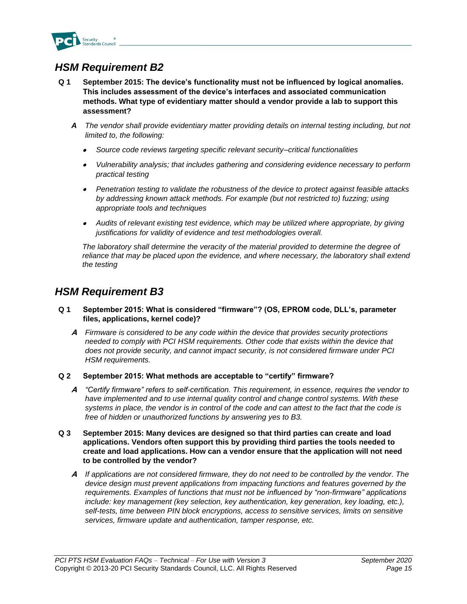

- <span id="page-14-0"></span>**Q 1 September 2015: The device's functionality must not be influenced by logical anomalies. This includes assessment of the device's interfaces and associated communication methods. What type of evidentiary matter should a vendor provide a lab to support this assessment?**
	- *A The vendor shall provide evidentiary matter providing details on internal testing including, but not limited to, the following:*
		- •*Source code reviews targeting specific relevant security–critical functionalities*
		- • *Vulnerability analysis; that includes gathering and considering evidence necessary to perform practical testing*
		- *Penetration testing to validate the robustness of the device to protect against feasible attacks by addressing known attack methods. For example (but not restricted to) fuzzing; using appropriate tools and techniques*
		- *Audits of relevant existing test evidence, which may be utilized where appropriate, by giving justifications for validity of evidence and test methodologies overall.*

*The laboratory shall determine the veracity of the material provided to determine the degree of reliance that may be placed upon the evidence, and where necessary, the laboratory shall extend the testing*

### <span id="page-14-1"></span>*HSM Requirement B3*

- **Q 1 September 2015: What is considered "firmware"? (OS, EPROM code, DLL's, parameter files, applications, kernel code)?** 
	- **A** *Firmware is considered to be any code within the device that provides security protections needed to comply with PCI HSM requirements. Other code that exists within the device that does not provide security, and cannot impact security, is not considered firmware under PCI HSM requirements.*
- **Q 2 September 2015: What methods are acceptable to "certify" firmware?** 
	- **A** *"Certify firmware" refers to self-certification. This requirement, in essence, requires the vendor to*  have implemented and to use internal quality control and change control systems. With these *systems in place, the vendor is in control of the code and can attest to the fact that the code is free of hidden or unauthorized functions by answering yes to B3.*
- **Q 3 September 2015: Many devices are designed so that third parties can create and load applications. Vendors often support this by providing third parties the tools needed to create and load applications. How can a vendor ensure that the application will not need to be controlled by the vendor?** 
	- **A** *If applications are not considered firmware, they do not need to be controlled by the vendor. The device design must prevent applications from impacting functions and features governed by the requirements. Examples of functions that must not be influenced by "non-firmware" applications*  include: key management (key selection, key authentication, key generation, key loading, etc.), *self-tests, time between PIN block encryptions, access to sensitive services, limits on sensitive services, firmware update and authentication, tamper response, etc.*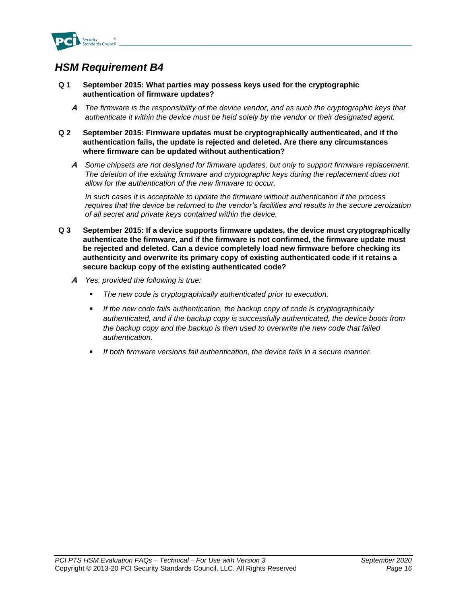

- <span id="page-15-0"></span>**Q 1 September 2015: What parties may possess keys used for the cryptographic authentication of firmware updates?**
	- **A** *The firmware is the responsibility of the device vendor, and as such the cryptographic keys that authenticate it within the device must be held solely by the vendor or their designated agent.*
- **Q 2 September 2015: Firmware updates must be cryptographically authenticated, and if the authentication fails, the update is rejected and deleted. Are there any circumstances where firmware can be updated without authentication?**
	- **A** *Some chipsets are not designed for firmware updates, but only to support firmware replacement. The deletion of the existing firmware and cryptographic keys during the replacement does not allow for the authentication of the new firmware to occur.*

*In such cases it is acceptable to update the firmware without authentication if the process requires that the device be returned to the vendor's facilities and results in the secure zeroization of all secret and private keys contained within the device.*

- **Q 3 September 2015: If a device supports firmware updates, the device must cryptographically authenticate the firmware, and if the firmware is not confirmed, the firmware update must be rejected and deleted. Can a device completely load new firmware before checking its authenticity and overwrite its primary copy of existing authenticated code if it retains a secure backup copy of the existing authenticated code?**
	- **A** *Yes, provided the following is true:*
		- The new code is cryptographically authenticated prior to execution.
		- If the new code fails authentication, the backup copy of code is cryptographically *authenticated, and if the backup copy is successfully authenticated, the device boots from the backup copy and the backup is then used to overwrite the new code that failed authentication.*
		- *If both firmware versions fail authentication, the device fails in a secure manner.*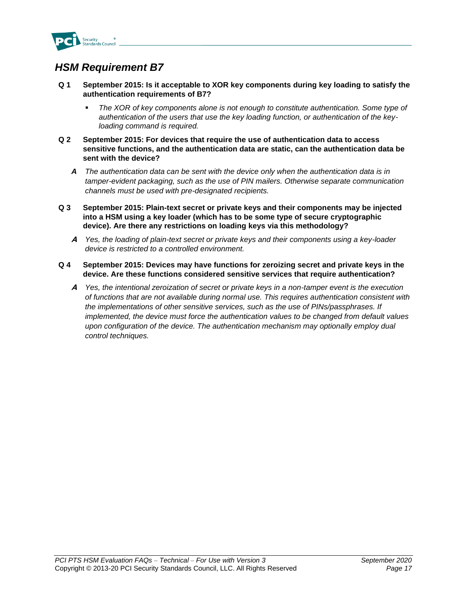

- <span id="page-16-0"></span>**Q 1 September 2015: Is it acceptable to XOR key components during key loading to satisfy the authentication requirements of B7?** 
	- The XOR of key components alone is not enough to constitute authentication. Some type of *authentication of the users that use the key loading function, or authentication of the keyloading command is required.*
- **Q 2 September 2015: For devices that require the use of authentication data to access sensitive functions, and the authentication data are static, can the authentication data be sent with the device?** 
	- *A The authentication data can be sent with the device only when the authentication data is in tamper-evident packaging, such as the use of PIN mailers. Otherwise separate communication channels must be used with pre-designated recipients.*
- **Q 3 September 2015: Plain-text secret or private keys and their components may be injected into a HSM using a key loader (which has to be some type of secure cryptographic device). Are there any restrictions on loading keys via this methodology?**
	- **A** *Yes, the loading of plain-text secret or private keys and their components using a key-loader device is restricted to a controlled environment.*
- **Q 4 September 2015: Devices may have functions for zeroizing secret and private keys in the device. Are these functions considered sensitive services that require authentication?**
	- **A** *Yes, the intentional zeroization of secret or private keys in a non-tamper event is the execution of functions that are not available during normal use. This requires authentication consistent with the implementations of other sensitive services, such as the use of PINs/passphrases. If implemented, the device must force the authentication values to be changed from default values upon configuration of the device. The authentication mechanism may optionally employ dual control techniques.*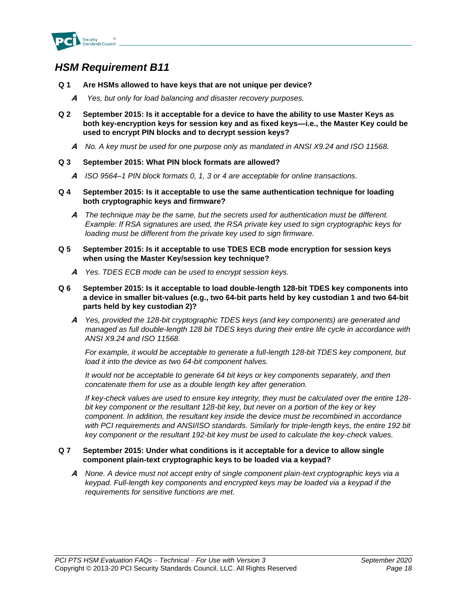

- <span id="page-17-0"></span>**Q 1 Are HSMs allowed to have keys that are not unique per device?**
	- **A** *Yes, but only for load balancing and disaster recovery purposes.*
- **Q 2 September 2015: Is it acceptable for a device to have the ability to use Master Keys as both key-encryption keys for session key and as fixed keys—i.e., the Master Key could be used to encrypt PIN blocks and to decrypt session keys?** 
	- **A** *No. A key must be used for one purpose only as mandated in ANSI X9.24 and ISO 11568.*
- **Q 3 September 2015: What PIN block formats are allowed?**
	- **A** *ISO 9564–1 PIN block formats 0, 1, 3 or 4 are acceptable for online transactions.*
- **Q 4 September 2015: Is it acceptable to use the same authentication technique for loading both cryptographic keys and firmware?**
	- **A** *The technique may be the same, but the secrets used for authentication must be different. Example: If RSA signatures are used, the RSA private key used to sign cryptographic keys for loading must be different from the private key used to sign firmware.*
- **Q 5 September 2015: Is it acceptable to use TDES ECB mode encryption for session keys when using the Master Key/session key technique?**
	- **A** *Yes. TDES ECB mode can be used to encrypt session keys.*
- **Q 6 September 2015: Is it acceptable to load double-length 128-bit TDES key components into a device in smaller bit-values (e.g., two 64-bit parts held by key custodian 1 and two 64-bit parts held by key custodian 2)?**
	- **A** *Yes, provided the 128-bit cryptographic TDES keys (and key components) are generated and managed as full double-length 128 bit TDES keys during their entire life cycle in accordance with ANSI X9.24 and ISO 11568.*

*For example, it would be acceptable to generate a full-length 128-bit TDES key component, but load it into the device as two 64-bit component halves.*

*It would not be acceptable to generate 64 bit keys or key components separately, and then concatenate them for use as a double length key after generation.*

*If key-check values are used to ensure key integrity, they must be calculated over the entire 128 bit key component or the resultant 128-bit key, but never on a portion of the key or key component. In addition, the resultant key inside the device must be recombined in accordance with PCI requirements and ANSI/ISO standards. Similarly for triple-length keys, the entire 192 bit key component or the resultant 192-bit key must be used to calculate the key-check values.*

#### **Q 7 September 2015: Under what conditions is it acceptable for a device to allow single component plain-text cryptographic keys to be loaded via a keypad?**

**A** *None. A device must not accept entry of single component plain-text cryptographic keys via a keypad. Full-length key components and encrypted keys may be loaded via a keypad if the requirements for sensitive functions are met.*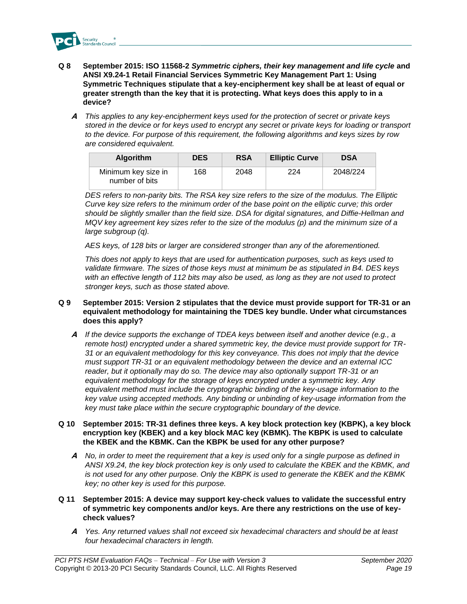

- **Q 8 September 2015: ISO 11568-2** *Symmetric ciphers, their key management and life cycle* **and ANSI X9.24-1 Retail Financial Services Symmetric Key Management Part 1: Using Symmetric Techniques stipulate that a key-encipherment key shall be at least of equal or greater strength than the key that it is protecting. What keys does this apply to in a device?**
	- **A** *This applies to any key-encipherment keys used for the protection of secret or private keys stored in the device or for keys used to encrypt any secret or private keys for loading or transport to the device. For purpose of this requirement, the following algorithms and keys sizes by row are considered equivalent.*

| <b>Algorithm</b>                      | <b>DES</b> | <b>RSA</b> | <b>Elliptic Curve</b> | <b>DSA</b> |
|---------------------------------------|------------|------------|-----------------------|------------|
| Minimum key size in<br>number of bits | 168        | 2048       | 224                   | 2048/224   |

*DES refers to non-parity bits. The RSA key size refers to the size of the modulus. The Elliptic Curve key size refers to the minimum order of the base point on the elliptic curve; this order should be slightly smaller than the field size. DSA for digital signatures, and Diffie-Hellman and MQV key agreement key sizes refer to the size of the modulus (p) and the minimum size of a large subgroup (q).* 

*AES keys, of 128 bits or larger are considered stronger than any of the aforementioned.*

*This does not apply to keys that are used for authentication purposes, such as keys used to validate firmware. The sizes of those keys must at minimum be as stipulated in B4. DES keys with an effective length of 112 bits may also be used, as long as they are not used to protect stronger keys, such as those stated above.*

- **Q 9 September 2015: Version 2 stipulates that the device must provide support for TR-31 or an equivalent methodology for maintaining the TDES key bundle. Under what circumstances does this apply?**
	- **A** *If the device supports the exchange of TDEA keys between itself and another device (e.g., a remote host) encrypted under a shared symmetric key, the device must provide support for TR-31 or an equivalent methodology for this key conveyance. This does not imply that the device must support TR-31 or an equivalent methodology between the device and an external ICC reader, but it optionally may do so. The device may also optionally support TR-31 or an equivalent methodology for the storage of keys encrypted under a symmetric key. Any equivalent method must include the cryptographic binding of the key-usage information to the key value using accepted methods. Any binding or unbinding of key-usage information from the key must take place within the secure cryptographic boundary of the device.*

#### **Q 10 September 2015: TR-31 defines three keys. A key block protection key (KBPK), a key block encryption key (KBEK) and a key block MAC key (KBMK). The KBPK is used to calculate the KBEK and the KBMK. Can the KBPK be used for any other purpose?**

- **A** *No, in order to meet the requirement that a key is used only for a single purpose as defined in ANSI X9.24, the key block protection key is only used to calculate the KBEK and the KBMK, and is not used for any other purpose. Only the KBPK is used to generate the KBEK and the KBMK key; no other key is used for this purpose.*
- **Q 11 September 2015: A device may support key-check values to validate the successful entry of symmetric key components and/or keys. Are there any restrictions on the use of keycheck values?**
	- **A** *Yes. Any returned values shall not exceed six hexadecimal characters and should be at least four hexadecimal characters in length.*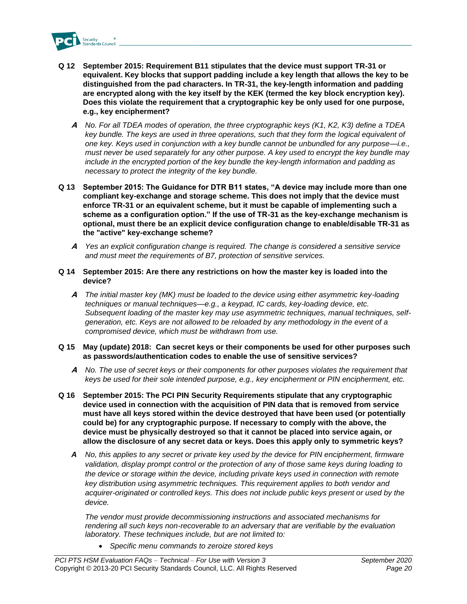

- **Q 12 September 2015: Requirement B11 stipulates that the device must support TR-31 or equivalent. Key blocks that support padding include a key length that allows the key to be distinguished from the pad characters. In TR-31, the key-length information and padding are encrypted along with the key itself by the KEK (termed the key block encryption key). Does this violate the requirement that a cryptographic key be only used for one purpose, e.g., key encipherment?**
	- **A** *No. For all TDEA modes of operation, the three cryptographic keys (K1, K2, K3) define a TDEA key bundle. The keys are used in three operations, such that they form the logical equivalent of one key. Keys used in conjunction with a key bundle cannot be unbundled for any purpose—i.e., must never be used separately for any other purpose. A key used to encrypt the key bundle may include in the encrypted portion of the key bundle the key-length information and padding as necessary to protect the integrity of the key bundle.*
- **Q 13 September 2015: The Guidance for DTR B11 states, "A device may include more than one compliant key-exchange and storage scheme. This does not imply that the device must enforce TR-31 or an equivalent scheme, but it must be capable of implementing such a scheme as a configuration option." If the use of TR-31 as the key-exchange mechanism is optional, must there be an explicit device configuration change to enable/disable TR-31 as the "active" key-exchange scheme?** 
	- **A** *Yes an explicit configuration change is required. The change is considered a sensitive service and must meet the requirements of B7, protection of sensitive services.*
- **Q 14 September 2015: Are there any restrictions on how the master key is loaded into the device?**
	- **A** *The initial master key (MK) must be loaded to the device using either asymmetric key-loading techniques or manual techniques—e.g., a keypad, IC cards, key-loading device, etc. Subsequent loading of the master key may use asymmetric techniques, manual techniques, selfgeneration, etc. Keys are not allowed to be reloaded by any methodology in the event of a compromised device, which must be withdrawn from use.*
- **Q 15 May (update) 2018: Can secret keys or their components be used for other purposes such as passwords/authentication codes to enable the use of sensitive services?**
	- **A** *No. The use of secret keys or their components for other purposes violates the requirement that keys be used for their sole intended purpose, e.g., key encipherment or PIN encipherment, etc.*
- **Q 16 September 2015: The PCI PIN Security Requirements stipulate that any cryptographic device used in connection with the acquisition of PIN data that is removed from service must have all keys stored within the device destroyed that have been used (or potentially could be) for any cryptographic purpose. If necessary to comply with the above, the device must be physically destroyed so that it cannot be placed into service again, or allow the disclosure of any secret data or keys. Does this apply only to symmetric keys?**
	- *A No, this applies to any secret or private key used by the device for PIN encipherment, firmware validation, display prompt control or the protection of any of those same keys during loading to the device or storage within the device, including private keys used in connection with remote key distribution using asymmetric techniques. This requirement applies to both vendor and acquirer-originated or controlled keys. This does not include public keys present or used by the device.*

*The vendor must provide decommissioning instructions and associated mechanisms for rendering all such keys non-recoverable to an adversary that are verifiable by the evaluation laboratory. These techniques include, but are not limited to:*

• *Specific menu commands to zeroize stored keys*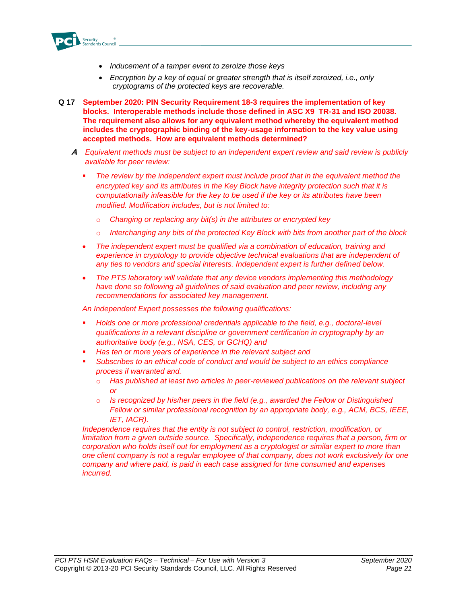

- *Inducement of a tamper event to zeroize those keys*
- *Encryption by a key of equal or greater strength that is itself zeroized, i.e., only cryptograms of the protected keys are recoverable.*
- **Q 17 September 2020: PIN Security Requirement 18-3 requires the implementation of key blocks. Interoperable methods include those defined in ASC X9 TR-31 and ISO 20038. The requirement also allows for any equivalent method whereby the equivalent method includes the cryptographic binding of the key-usage information to the key value using accepted methods. How are equivalent methods determined?**
	- **A** *Equivalent methods must be subject to an independent expert review and said review is publicly available for peer review:*
		- The review by the independent expert must include proof that in the equivalent method the *encrypted key and its attributes in the Key Block have integrity protection such that it is computationally infeasible for the key to be used if the key or its attributes have been modified. Modification includes, but is not limited to:*
			- o *Changing or replacing any bit(s) in the attributes or encrypted key*
			- o *Interchanging any bits of the protected Key Block with bits from another part of the block*
		- *The independent expert must be qualified via a combination of education, training and experience in cryptology to provide objective technical evaluations that are independent of any ties to vendors and special interests. Independent expert is further defined below.*
		- *The PTS laboratory will validate that any device vendors implementing this methodology have done so following all guidelines of said evaluation and peer review, including any recommendations for associated key management.*

*An Independent Expert possesses the following qualifications:*

- *Holds one or more professional credentials applicable to the field, e.g., doctoral-level qualifications in a relevant discipline or government certification in cryptography by an authoritative body (e.g., NSA, CES, or GCHQ) and*
- *Has ten or more years of experience in the relevant subject and*
- Subscribes to an ethical code of conduct and would be subject to an ethics compliance *process if warranted and.* 
	- o *Has published at least two articles in peer-reviewed publications on the relevant subject or*
	- o *Is recognized by his/her peers in the field (e.g., awarded the Fellow or Distinguished Fellow or similar professional recognition by an appropriate body, e.g., ACM, BCS, IEEE, IET, IACR).*

*Independence requires that the entity is not subject to control, restriction, modification, or limitation from a given outside source. Specifically, independence requires that a person, firm or corporation who holds itself out for employment as a cryptologist or similar expert to more than one client company is not a regular employee of that company, does not work exclusively for one company and where paid, is paid in each case assigned for time consumed and expenses incurred.*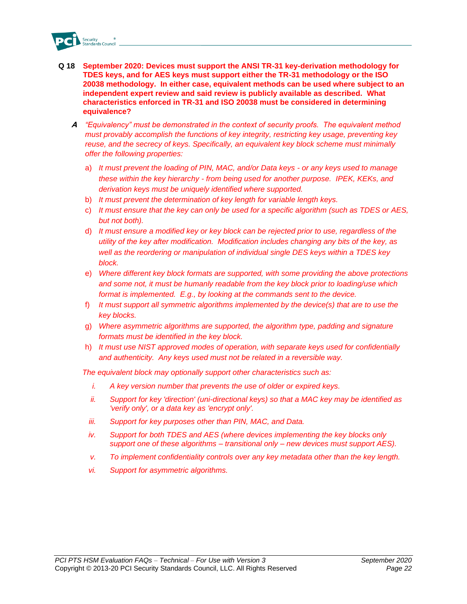

- **Q 18 September 2020: Devices must support the ANSI TR-31 key-derivation methodology for TDES keys, and for AES keys must support either the TR-31 methodology or the ISO 20038 methodology. In either case, equivalent methods can be used where subject to an independent expert review and said review is publicly available as described. What characteristics enforced in TR-31 and ISO 20038 must be considered in determining equivalence?** 
	- **A** *"Equivalency" must be demonstrated in the context of security proofs. The equivalent method must provably accomplish the functions of key integrity, restricting key usage, preventing key reuse, and the secrecy of keys. Specifically, an equivalent key block scheme must minimally offer the following properties:*
		- a) *It must prevent the loading of PIN, MAC, and/or Data keys - or any keys used to manage these within the key hierarchy - from being used for another purpose. IPEK, KEKs, and derivation keys must be uniquely identified where supported.*
		- b) *It must prevent the determination of key length for variable length keys.*
		- c) *It must ensure that the key can only be used for a specific algorithm (such as TDES or AES, but not both).*
		- d) *It must ensure a modified key or key block can be rejected prior to use, regardless of the utility of the key after modification. Modification includes changing any bits of the key, as well as the reordering or manipulation of individual single DES keys within a TDES key block.*
		- e) *Where different key block formats are supported, with some providing the above protections and some not, it must be humanly readable from the key block prior to loading/use which format is implemented. E.g., by looking at the commands sent to the device.*
		- f) *It must support all symmetric algorithms implemented by the device(s) that are to use the key blocks.*
		- g) *Where asymmetric algorithms are supported, the algorithm type, padding and signature formats must be identified in the key block.*
		- h) *It must use NIST approved modes of operation, with separate keys used for confidentially and authenticity. Any keys used must not be related in a reversible way.*

*The equivalent block may optionally support other characteristics such as:* 

- *i. A key version number that prevents the use of older or expired keys.*
- *ii. Support for key 'direction' (uni-directional keys) so that a MAC key may be identified as 'verify only', or a data key as 'encrypt only'.*
- *iii. Support for key purposes other than PIN, MAC, and Data.*
- *iv.* Support for both TDES and AES (where devices implementing the key blocks only *support one of these algorithms – transitional only – new devices must support AES).*
- *v. To implement confidentiality controls over any key metadata other than the key length.*
- *vi. Support for asymmetric algorithms.*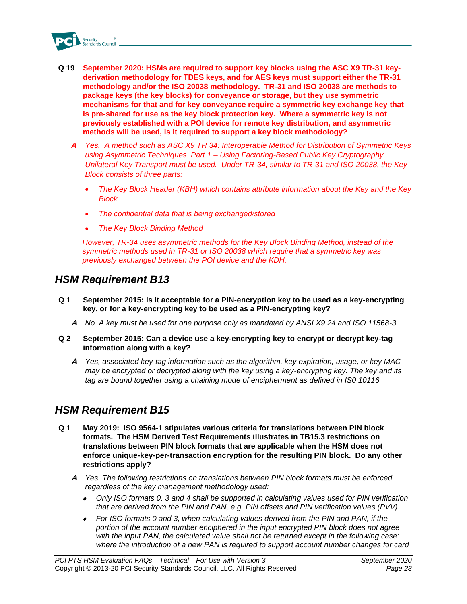

- **Q 19 September 2020: HSMs are required to support key blocks using the ASC X9 TR-31 keyderivation methodology for TDES keys, and for AES keys must support either the TR-31 methodology and/or the ISO 20038 methodology. TR-31 and ISO 20038 are methods to package keys (the key blocks) for conveyance or storage, but they use symmetric mechanisms for that and for key conveyance require a symmetric key exchange key that is pre-shared for use as the key block protection key. Where a symmetric key is not previously established with a POI device for remote key distribution, and asymmetric methods will be used, is it required to support a key block methodology?**
	- *A Yes. A method such as ASC X9 TR 34: Interoperable Method for Distribution of Symmetric Keys using Asymmetric Techniques: Part 1 – Using Factoring-Based Public Key Cryptography Unilateral Key Transport must be used. Under TR-34, similar to TR-31 and ISO 20038, the Key Block consists of three parts:*
		- *The Key Block Header (KBH) which contains attribute information about the Key and the Key Block*
		- *The confidential data that is being exchanged/stored*
		- *The Key Block Binding Method*

*However, TR-34 uses asymmetric methods for the Key Block Binding Method, instead of the symmetric methods used in TR-31 or ISO 20038 which require that a symmetric key was previously exchanged between the POI device and the KDH.*

### <span id="page-22-0"></span>*HSM Requirement B13*

- **Q 1 September 2015: Is it acceptable for a PIN-encryption key to be used as a key-encrypting key, or for a key-encrypting key to be used as a PIN-encrypting key?** 
	- **A** *No. A key must be used for one purpose only as mandated by ANSI X9.24 and ISO 11568-3.*
- **Q 2 September 2015: Can a device use a key-encrypting key to encrypt or decrypt key-tag information along with a key?**
	- **A** *Yes, associated key-tag information such as the algorithm, key expiration, usage, or key MAC may be encrypted or decrypted along with the key using a key-encrypting key. The key and its tag are bound together using a chaining mode of encipherment as defined in IS0 10116.*

### <span id="page-22-1"></span>*HSM Requirement B15*

- **Q 1 May 2019: ISO 9564-1 stipulates various criteria for translations between PIN block formats. The HSM Derived Test Requirements illustrates in TB15.3 restrictions on translations between PIN block formats that are applicable when the HSM does not enforce unique-key-per-transaction encryption for the resulting PIN block. Do any other restrictions apply?**
	- **A** *Yes. The following restrictions on translations between PIN block formats must be enforced regardless of the key management methodology used:*
		- • *Only ISO formats 0, 3 and 4 shall be supported in calculating values used for PIN verification that are derived from the PIN and PAN, e.g. PIN offsets and PIN verification values (PVV).*
		- *For ISO formats 0 and 3, when calculating values derived from the PIN and PAN, if the portion of the account number enciphered in the input encrypted PIN block does not agree with the input PAN, the calculated value shall not be returned except in the following case: where the introduction of a new PAN is required to support account number changes for card*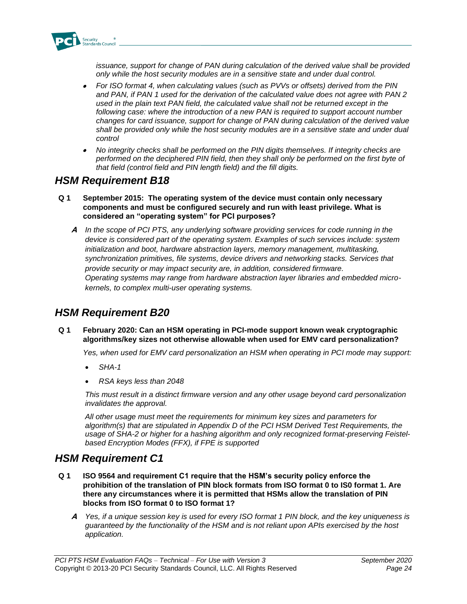

*issuance, support for change of PAN during calculation of the derived value shall be provided only while the host security modules are in a sensitive state and under dual control.*

- • *For ISO format 4, when calculating values (such as PVVs or offsets) derived from the PIN and PAN, if PAN 1 used for the derivation of the calculated value does not agree with PAN 2 used in the plain text PAN field, the calculated value shall not be returned except in the*  following case: where the introduction of a new PAN is required to support account number *changes for card issuance, support for change of PAN during calculation of the derived value shall be provided only while the host security modules are in a sensitive state and under dual control*
- • *No integrity checks shall be performed on the PIN digits themselves. If integrity checks are performed on the deciphered PIN field, then they shall only be performed on the first byte of that field (control field and PIN length field) and the fill digits.*

### <span id="page-23-0"></span>*HSM Requirement B18*

- **Q 1 September 2015: The operating system of the device must contain only necessary components and must be configured securely and run with least privilege. What is considered an "operating system" for PCI purposes?** 
	- **A** *In the scope of PCI PTS, any underlying software providing services for code running in the device is considered part of the operating system. Examples of such services include: system initialization and boot, hardware abstraction layers, memory management, multitasking, synchronization primitives, file systems, device drivers and networking stacks. Services that provide security or may impact security are, in addition, considered firmware. Operating systems may range from hardware abstraction layer libraries and embedded microkernels, to complex multi-user operating systems.*

### <span id="page-23-1"></span>*HSM Requirement B20*

**Q 1 February 2020: Can an HSM operating in PCI-mode support known weak cryptographic algorithms/key sizes not otherwise allowable when used for EMV card personalization?** 

*Yes, when used for EMV card personalization an HSM when operating in PCI mode may support:* 

- *SHA-1*
- *RSA keys less than 2048*

*This must result in a distinct firmware version and any other usage beyond card personalization invalidates the approval.*

*All other usage must meet the requirements for minimum key sizes and parameters for algorithm(s) that are stipulated in Appendix D of the PCI HSM Derived Test Requirements, the usage of SHA-2 or higher for a hashing algorithm and only recognized format-preserving Feistelbased Encryption Modes (FFX), if FPE is supported*

### <span id="page-23-2"></span>*HSM Requirement C1*

- **Q 1 ISO 9564 and requirement C1 require that the HSM's security policy enforce the prohibition of the translation of PIN block formats from ISO format 0 to IS0 format 1. Are there any circumstances where it is permitted that HSMs allow the translation of PIN blocks from ISO format 0 to ISO format 1?**
	- **A** *Yes, if a unique session key is used for every ISO format 1 PIN block, and the key uniqueness is guaranteed by the functionality of the HSM and is not reliant upon APIs exercised by the host application.*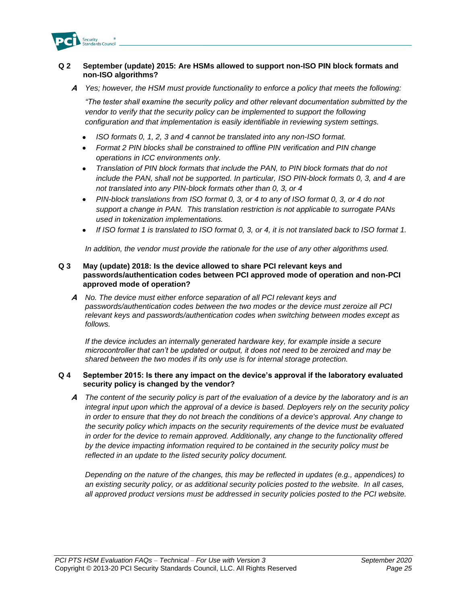

#### **Q 2 September (update) 2015: Are HSMs allowed to support non-ISO PIN block formats and non-ISO algorithms?**

**A** *Yes; however, the HSM must provide functionality to enforce a policy that meets the following:*

*"The tester shall examine the security policy and other relevant documentation submitted by the vendor to verify that the security policy can be implemented to support the following configuration and that implementation is easily identifiable in reviewing system settings.* 

- *ISO formats 0, 1, 2, 3 and 4 cannot be translated into any non-ISO format.*
- *Format 2 PIN blocks shall be constrained to offline PIN verification and PIN change operations in ICC environments only.*
- *Translation of PIN block formats that include the PAN, to PIN block formats that do not include the PAN, shall not be supported. In particular, ISO PIN-block formats 0, 3, and 4 are not translated into any PIN-block formats other than 0, 3, or 4*
- *PIN-block translations from ISO format 0, 3, or 4 to any of ISO format 0, 3, or 4 do not support a change in PAN. This translation restriction is not applicable to surrogate PANs used in tokenization implementations.*
- *If ISO format 1 is translated to ISO format 0, 3, or 4, it is not translated back to ISO format 1.*

*In addition, the vendor must provide the rationale for the use of any other algorithms used.*

#### **Q 3 May (update) 2018: Is the device allowed to share PCI relevant keys and passwords/authentication codes between PCI approved mode of operation and non-PCI approved mode of operation?**

**A** *No. The device must either enforce separation of all PCI relevant keys and passwords/authentication codes between the two modes or the device must zeroize all PCI relevant keys and passwords/authentication codes when switching between modes except as follows.*

*If the device includes an internally generated hardware key, for example inside a secure microcontroller that can't be updated or output, it does not need to be zeroized and may be shared between the two modes if its only use is for internal storage protection.*

#### **Q 4 September 2015: Is there any impact on the device's approval if the laboratory evaluated security policy is changed by the vendor?**

**A** *The content of the security policy is part of the evaluation of a device by the laboratory and is an integral input upon which the approval of a device is based. Deployers rely on the security policy in order to ensure that they do not breach the conditions of a device's approval. Any change to the security policy which impacts on the security requirements of the device must be evaluated in order for the device to remain approved. Additionally, any change to the functionality offered by the device impacting information required to be contained in the security policy must be reflected in an update to the listed security policy document.* 

*Depending on the nature of the changes, this may be reflected in updates (e.g., appendices) to an existing security policy, or as additional security policies posted to the website. In all cases, all approved product versions must be addressed in security policies posted to the PCI website.*